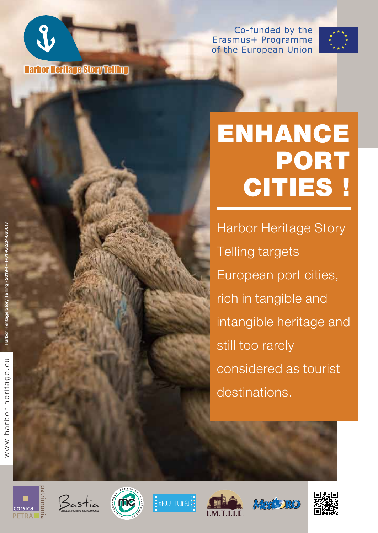



## ENHANCE PORT CITIES !

Harbor Heritage Story Telling targets European port cities, rich in tangible and intangible heritage and still too rarely considered as tourist destinations.



Harbor Heritage Story Telling